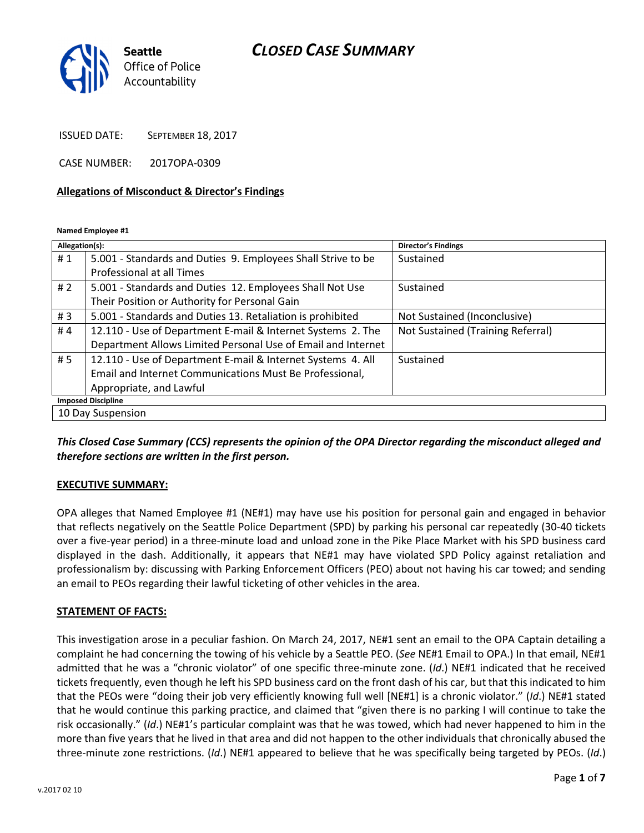## CLOSED CASE SUMMARY



ISSUED DATE: SEPTEMBER 18, 2017

CASE NUMBER: 2017OPA-0309

#### Allegations of Misconduct & Director's Findings

Named Employee #1

| Allegation(s):            |                                                              | <b>Director's Findings</b>        |
|---------------------------|--------------------------------------------------------------|-----------------------------------|
| #1                        | 5.001 - Standards and Duties 9. Employees Shall Strive to be | Sustained                         |
|                           | Professional at all Times                                    |                                   |
| # 2                       | 5.001 - Standards and Duties 12. Employees Shall Not Use     | Sustained                         |
|                           | Their Position or Authority for Personal Gain                |                                   |
| #3                        | 5.001 - Standards and Duties 13. Retaliation is prohibited   | Not Sustained (Inconclusive)      |
| #4                        | 12.110 - Use of Department E-mail & Internet Systems 2. The  | Not Sustained (Training Referral) |
|                           | Department Allows Limited Personal Use of Email and Internet |                                   |
| # 5                       | 12.110 - Use of Department E-mail & Internet Systems 4. All  | Sustained                         |
|                           | Email and Internet Communications Must Be Professional,      |                                   |
|                           | Appropriate, and Lawful                                      |                                   |
| <b>Imposed Discipline</b> |                                                              |                                   |
| 10 Day Suspension         |                                                              |                                   |

#### This Closed Case Summary (CCS) represents the opinion of the OPA Director regarding the misconduct alleged and therefore sections are written in the first person.

#### EXECUTIVE SUMMARY:

OPA alleges that Named Employee #1 (NE#1) may have use his position for personal gain and engaged in behavior that reflects negatively on the Seattle Police Department (SPD) by parking his personal car repeatedly (30-40 tickets over a five-year period) in a three-minute load and unload zone in the Pike Place Market with his SPD business card displayed in the dash. Additionally, it appears that NE#1 may have violated SPD Policy against retaliation and professionalism by: discussing with Parking Enforcement Officers (PEO) about not having his car towed; and sending an email to PEOs regarding their lawful ticketing of other vehicles in the area.

#### STATEMENT OF FACTS:

This investigation arose in a peculiar fashion. On March 24, 2017, NE#1 sent an email to the OPA Captain detailing a complaint he had concerning the towing of his vehicle by a Seattle PEO. (See NE#1 Email to OPA.) In that email, NE#1 admitted that he was a "chronic violator" of one specific three-minute zone. (Id.) NE#1 indicated that he received tickets frequently, even though he left his SPD business card on the front dash of his car, but that this indicated to him that the PEOs were "doing their job very efficiently knowing full well [NE#1] is a chronic violator." (Id.) NE#1 stated that he would continue this parking practice, and claimed that "given there is no parking I will continue to take the risk occasionally." (Id.) NE#1's particular complaint was that he was towed, which had never happened to him in the more than five years that he lived in that area and did not happen to the other individuals that chronically abused the three-minute zone restrictions. (Id.) NE#1 appeared to believe that he was specifically being targeted by PEOs. (Id.)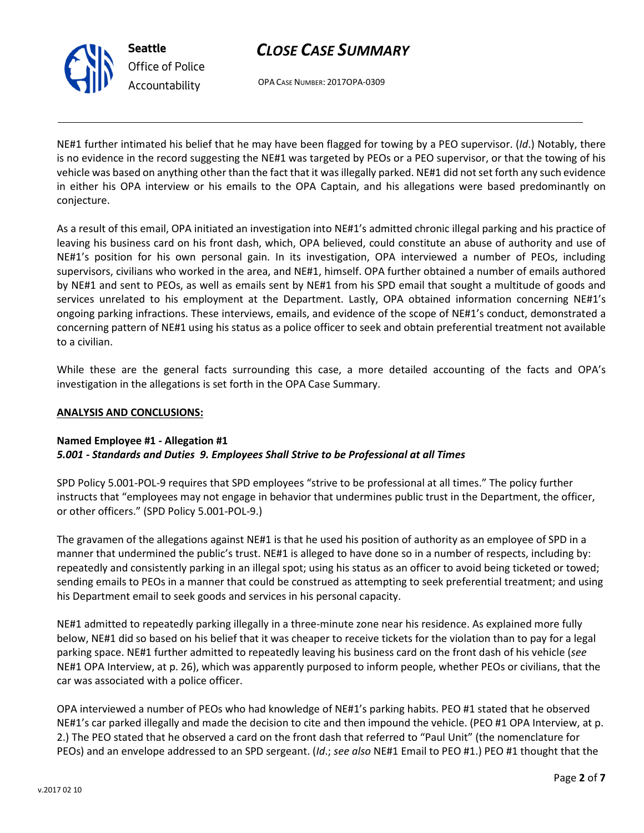# CLOSE CASE SUMMARY

OPA CASE NUMBER: 2017OPA-0309

NE#1 further intimated his belief that he may have been flagged for towing by a PEO supervisor. (Id.) Notably, there is no evidence in the record suggesting the NE#1 was targeted by PEOs or a PEO supervisor, or that the towing of his vehicle was based on anything other than the fact that it was illegally parked. NE#1 did not set forth any such evidence in either his OPA interview or his emails to the OPA Captain, and his allegations were based predominantly on conjecture.

As a result of this email, OPA initiated an investigation into NE#1's admitted chronic illegal parking and his practice of leaving his business card on his front dash, which, OPA believed, could constitute an abuse of authority and use of NE#1's position for his own personal gain. In its investigation, OPA interviewed a number of PEOs, including supervisors, civilians who worked in the area, and NE#1, himself. OPA further obtained a number of emails authored by NE#1 and sent to PEOs, as well as emails sent by NE#1 from his SPD email that sought a multitude of goods and services unrelated to his employment at the Department. Lastly, OPA obtained information concerning NE#1's ongoing parking infractions. These interviews, emails, and evidence of the scope of NE#1's conduct, demonstrated a concerning pattern of NE#1 using his status as a police officer to seek and obtain preferential treatment not available to a civilian.

While these are the general facts surrounding this case, a more detailed accounting of the facts and OPA's investigation in the allegations is set forth in the OPA Case Summary.

### ANALYSIS AND CONCLUSIONS:

#### Named Employee #1 - Allegation #1 5.001 - Standards and Duties 9. Employees Shall Strive to be Professional at all Times

SPD Policy 5.001-POL-9 requires that SPD employees "strive to be professional at all times." The policy further instructs that "employees may not engage in behavior that undermines public trust in the Department, the officer, or other officers." (SPD Policy 5.001-POL-9.)

The gravamen of the allegations against NE#1 is that he used his position of authority as an employee of SPD in a manner that undermined the public's trust. NE#1 is alleged to have done so in a number of respects, including by: repeatedly and consistently parking in an illegal spot; using his status as an officer to avoid being ticketed or towed; sending emails to PEOs in a manner that could be construed as attempting to seek preferential treatment; and using his Department email to seek goods and services in his personal capacity.

NE#1 admitted to repeatedly parking illegally in a three-minute zone near his residence. As explained more fully below, NE#1 did so based on his belief that it was cheaper to receive tickets for the violation than to pay for a legal parking space. NE#1 further admitted to repeatedly leaving his business card on the front dash of his vehicle (see NE#1 OPA Interview, at p. 26), which was apparently purposed to inform people, whether PEOs or civilians, that the car was associated with a police officer.

OPA interviewed a number of PEOs who had knowledge of NE#1's parking habits. PEO #1 stated that he observed NE#1's car parked illegally and made the decision to cite and then impound the vehicle. (PEO #1 OPA Interview, at p. 2.) The PEO stated that he observed a card on the front dash that referred to "Paul Unit" (the nomenclature for PEOs) and an envelope addressed to an SPD sergeant. (Id.; see also NE#1 Email to PEO #1.) PEO #1 thought that the



Seattle Office of Police Accountability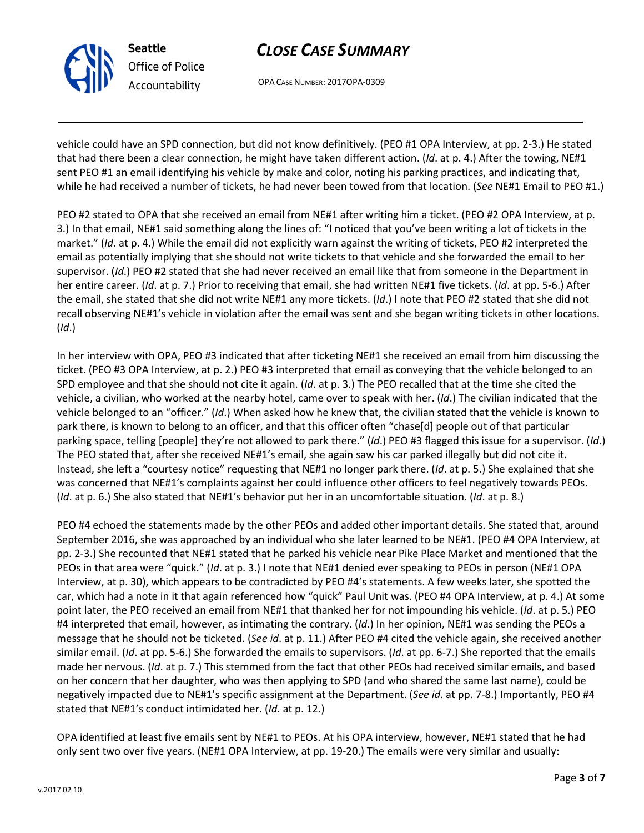

Seattle Office of Police Accountability

# CLOSE CASE SUMMARY

OPA CASE NUMBER: 2017OPA-0309

vehicle could have an SPD connection, but did not know definitively. (PEO #1 OPA Interview, at pp. 2-3.) He stated that had there been a clear connection, he might have taken different action. (*Id.* at p. 4.) After the towing, NE#1 sent PEO #1 an email identifying his vehicle by make and color, noting his parking practices, and indicating that, while he had received a number of tickets, he had never been towed from that location. (See NE#1 Email to PEO #1.)

PEO #2 stated to OPA that she received an email from NE#1 after writing him a ticket. (PEO #2 OPA Interview, at p. 3.) In that email, NE#1 said something along the lines of: "I noticed that you've been writing a lot of tickets in the market." (Id. at p. 4.) While the email did not explicitly warn against the writing of tickets, PEO #2 interpreted the email as potentially implying that she should not write tickets to that vehicle and she forwarded the email to her supervisor. (Id.) PEO #2 stated that she had never received an email like that from someone in the Department in her entire career. (Id. at p. 7.) Prior to receiving that email, she had written NE#1 five tickets. (Id. at pp. 5-6.) After the email, she stated that she did not write NE#1 any more tickets. (Id.) I note that PEO #2 stated that she did not recall observing NE#1's vehicle in violation after the email was sent and she began writing tickets in other locations. (Id.)

In her interview with OPA, PEO #3 indicated that after ticketing NE#1 she received an email from him discussing the ticket. (PEO #3 OPA Interview, at p. 2.) PEO #3 interpreted that email as conveying that the vehicle belonged to an SPD employee and that she should not cite it again. ( $Id$ . at p. 3.) The PEO recalled that at the time she cited the vehicle, a civilian, who worked at the nearby hotel, came over to speak with her.  $(ld)$  The civilian indicated that the vehicle belonged to an "officer." (Id.) When asked how he knew that, the civilian stated that the vehicle is known to park there, is known to belong to an officer, and that this officer often "chase[d] people out of that particular parking space, telling [people] they're not allowed to park there." (Id.) PEO #3 flagged this issue for a supervisor. (Id.) The PEO stated that, after she received NE#1's email, she again saw his car parked illegally but did not cite it. Instead, she left a "courtesy notice" requesting that NE#1 no longer park there. (Id. at p. 5.) She explained that she was concerned that NE#1's complaints against her could influence other officers to feel negatively towards PEOs. (Id. at p. 6.) She also stated that NE#1's behavior put her in an uncomfortable situation. (Id. at p. 8.)

PEO #4 echoed the statements made by the other PEOs and added other important details. She stated that, around September 2016, she was approached by an individual who she later learned to be NE#1. (PEO #4 OPA Interview, at pp. 2-3.) She recounted that NE#1 stated that he parked his vehicle near Pike Place Market and mentioned that the PEOs in that area were "quick." (Id. at p. 3.) I note that NE#1 denied ever speaking to PEOs in person (NE#1 OPA Interview, at p. 30), which appears to be contradicted by PEO #4's statements. A few weeks later, she spotted the car, which had a note in it that again referenced how "quick" Paul Unit was. (PEO #4 OPA Interview, at p. 4.) At some point later, the PEO received an email from NE#1 that thanked her for not impounding his vehicle. (Id. at p. 5.) PEO #4 interpreted that email, however, as intimating the contrary. (Id.) In her opinion, NE#1 was sending the PEOs a message that he should not be ticketed. (See id. at p. 11.) After PEO #4 cited the vehicle again, she received another similar email. (Id. at pp. 5-6.) She forwarded the emails to supervisors. (Id. at pp. 6-7.) She reported that the emails made her nervous. (Id. at p. 7.) This stemmed from the fact that other PEOs had received similar emails, and based on her concern that her daughter, who was then applying to SPD (and who shared the same last name), could be negatively impacted due to NE#1's specific assignment at the Department. (See id. at pp. 7-8.) Importantly, PEO #4 stated that NE#1's conduct intimidated her. (Id. at p. 12.)

OPA identified at least five emails sent by NE#1 to PEOs. At his OPA interview, however, NE#1 stated that he had only sent two over five years. (NE#1 OPA Interview, at pp. 19-20.) The emails were very similar and usually: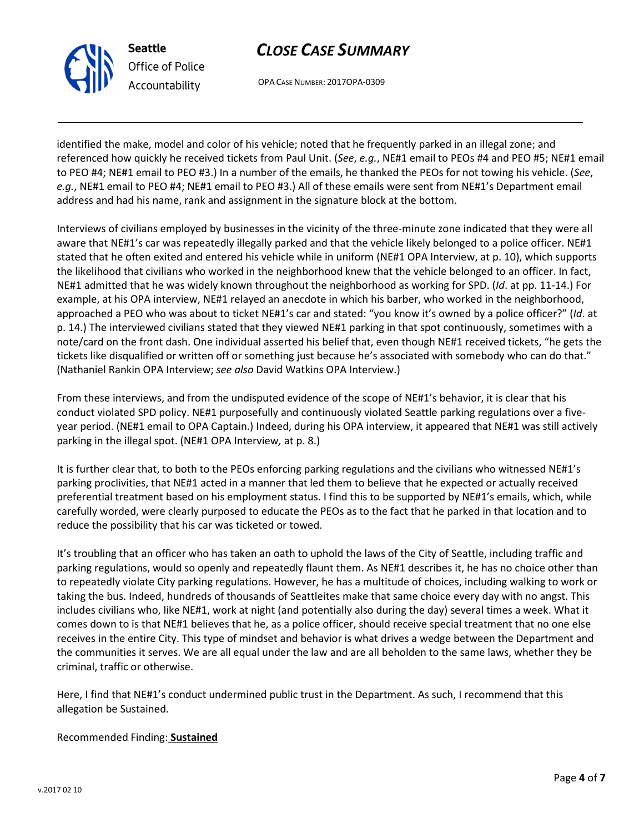

Seattle Office of Police Accountability

# CLOSE CASE SUMMARY

OPA CASE NUMBER: 2017OPA-0309

identified the make, model and color of his vehicle; noted that he frequently parked in an illegal zone; and referenced how quickly he received tickets from Paul Unit. (See, e.g., NE#1 email to PEOs #4 and PEO #5; NE#1 email to PEO #4; NE#1 email to PEO #3.) In a number of the emails, he thanked the PEOs for not towing his vehicle. (See, e.g., NE#1 email to PEO #4; NE#1 email to PEO #3.) All of these emails were sent from NE#1's Department email address and had his name, rank and assignment in the signature block at the bottom.

Interviews of civilians employed by businesses in the vicinity of the three-minute zone indicated that they were all aware that NE#1's car was repeatedly illegally parked and that the vehicle likely belonged to a police officer. NE#1 stated that he often exited and entered his vehicle while in uniform (NE#1 OPA Interview, at p. 10), which supports the likelihood that civilians who worked in the neighborhood knew that the vehicle belonged to an officer. In fact, NE#1 admitted that he was widely known throughout the neighborhood as working for SPD. (Id. at pp. 11-14.) For example, at his OPA interview, NE#1 relayed an anecdote in which his barber, who worked in the neighborhood, approached a PEO who was about to ticket NE#1's car and stated: "you know it's owned by a police officer?" (Id. at p. 14.) The interviewed civilians stated that they viewed NE#1 parking in that spot continuously, sometimes with a note/card on the front dash. One individual asserted his belief that, even though NE#1 received tickets, "he gets the tickets like disqualified or written off or something just because he's associated with somebody who can do that." (Nathaniel Rankin OPA Interview; see also David Watkins OPA Interview.)

From these interviews, and from the undisputed evidence of the scope of NE#1's behavior, it is clear that his conduct violated SPD policy. NE#1 purposefully and continuously violated Seattle parking regulations over a fiveyear period. (NE#1 email to OPA Captain.) Indeed, during his OPA interview, it appeared that NE#1 was still actively parking in the illegal spot. (NE#1 OPA Interview, at p. 8.)

It is further clear that, to both to the PEOs enforcing parking regulations and the civilians who witnessed NE#1's parking proclivities, that NE#1 acted in a manner that led them to believe that he expected or actually received preferential treatment based on his employment status. I find this to be supported by NE#1's emails, which, while carefully worded, were clearly purposed to educate the PEOs as to the fact that he parked in that location and to reduce the possibility that his car was ticketed or towed.

It's troubling that an officer who has taken an oath to uphold the laws of the City of Seattle, including traffic and parking regulations, would so openly and repeatedly flaunt them. As NE#1 describes it, he has no choice other than to repeatedly violate City parking regulations. However, he has a multitude of choices, including walking to work or taking the bus. Indeed, hundreds of thousands of Seattleites make that same choice every day with no angst. This includes civilians who, like NE#1, work at night (and potentially also during the day) several times a week. What it comes down to is that NE#1 believes that he, as a police officer, should receive special treatment that no one else receives in the entire City. This type of mindset and behavior is what drives a wedge between the Department and the communities it serves. We are all equal under the law and are all beholden to the same laws, whether they be criminal, traffic or otherwise.

Here, I find that NE#1's conduct undermined public trust in the Department. As such, I recommend that this allegation be Sustained.

### Recommended Finding: Sustained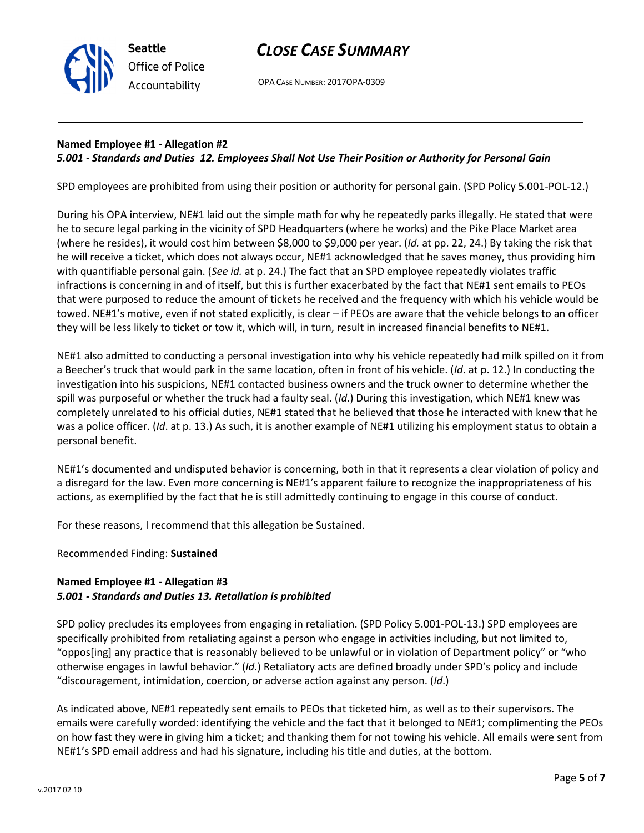

# CLOSE CASE SUMMARY

OPA CASE NUMBER: 2017OPA-0309

#### Named Employee #1 - Allegation #2 5.001 - Standards and Duties 12. Employees Shall Not Use Their Position or Authority for Personal Gain

SPD employees are prohibited from using their position or authority for personal gain. (SPD Policy 5.001-POL-12.)

During his OPA interview, NE#1 laid out the simple math for why he repeatedly parks illegally. He stated that were he to secure legal parking in the vicinity of SPD Headquarters (where he works) and the Pike Place Market area (where he resides), it would cost him between \$8,000 to \$9,000 per year. (Id. at pp. 22, 24.) By taking the risk that he will receive a ticket, which does not always occur, NE#1 acknowledged that he saves money, thus providing him with quantifiable personal gain. (See id. at p. 24.) The fact that an SPD employee repeatedly violates traffic infractions is concerning in and of itself, but this is further exacerbated by the fact that NE#1 sent emails to PEOs that were purposed to reduce the amount of tickets he received and the frequency with which his vehicle would be towed. NE#1's motive, even if not stated explicitly, is clear – if PEOs are aware that the vehicle belongs to an officer they will be less likely to ticket or tow it, which will, in turn, result in increased financial benefits to NE#1.

NE#1 also admitted to conducting a personal investigation into why his vehicle repeatedly had milk spilled on it from a Beecher's truck that would park in the same location, often in front of his vehicle. (Id. at p. 12.) In conducting the investigation into his suspicions, NE#1 contacted business owners and the truck owner to determine whether the spill was purposeful or whether the truck had a faulty seal. (Id.) During this investigation, which NE#1 knew was completely unrelated to his official duties, NE#1 stated that he believed that those he interacted with knew that he was a police officer. (Id. at p. 13.) As such, it is another example of NE#1 utilizing his employment status to obtain a personal benefit.

NE#1's documented and undisputed behavior is concerning, both in that it represents a clear violation of policy and a disregard for the law. Even more concerning is NE#1's apparent failure to recognize the inappropriateness of his actions, as exemplified by the fact that he is still admittedly continuing to engage in this course of conduct.

For these reasons, I recommend that this allegation be Sustained.

Recommended Finding: Sustained

### Named Employee #1 - Allegation #3 5.001 - Standards and Duties 13. Retaliation is prohibited

SPD policy precludes its employees from engaging in retaliation. (SPD Policy 5.001-POL-13.) SPD employees are specifically prohibited from retaliating against a person who engage in activities including, but not limited to, "oppos[ing] any practice that is reasonably believed to be unlawful or in violation of Department policy" or "who otherwise engages in lawful behavior." (Id.) Retaliatory acts are defined broadly under SPD's policy and include "discouragement, intimidation, coercion, or adverse action against any person. (Id.)

As indicated above, NE#1 repeatedly sent emails to PEOs that ticketed him, as well as to their supervisors. The emails were carefully worded: identifying the vehicle and the fact that it belonged to NE#1; complimenting the PEOs on how fast they were in giving him a ticket; and thanking them for not towing his vehicle. All emails were sent from NE#1's SPD email address and had his signature, including his title and duties, at the bottom.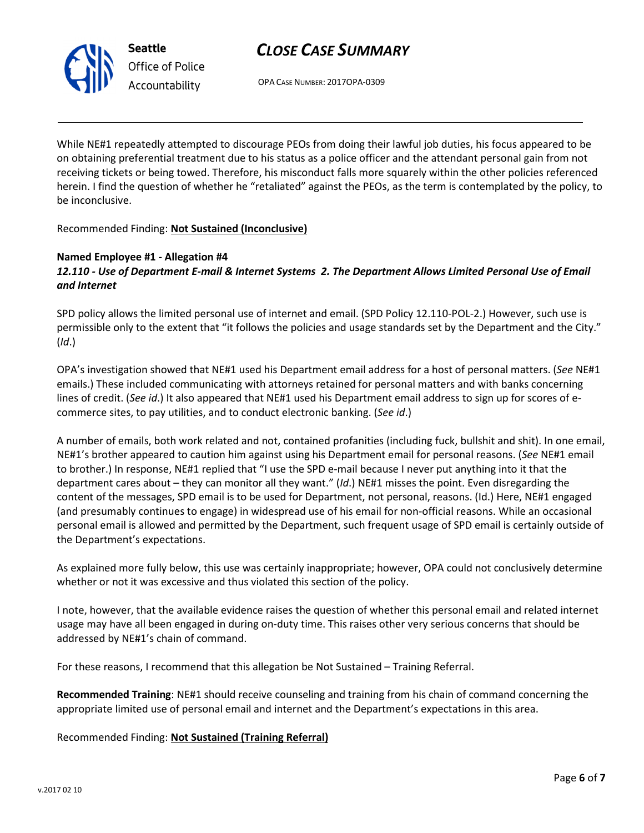

## CLOSE CASE SUMMARY

OPA CASE NUMBER: 2017OPA-0309

While NE#1 repeatedly attempted to discourage PEOs from doing their lawful job duties, his focus appeared to be on obtaining preferential treatment due to his status as a police officer and the attendant personal gain from not receiving tickets or being towed. Therefore, his misconduct falls more squarely within the other policies referenced herein. I find the question of whether he "retaliated" against the PEOs, as the term is contemplated by the policy, to be inconclusive.

Recommended Finding: Not Sustained (Inconclusive)

### Named Employee #1 - Allegation #4 12.110 - Use of Department E-mail & Internet Systems 2. The Department Allows Limited Personal Use of Email and Internet

SPD policy allows the limited personal use of internet and email. (SPD Policy 12.110-POL-2.) However, such use is permissible only to the extent that "it follows the policies and usage standards set by the Department and the City." (Id.)

OPA's investigation showed that NE#1 used his Department email address for a host of personal matters. (See NE#1 emails.) These included communicating with attorneys retained for personal matters and with banks concerning lines of credit. (See id.) It also appeared that NE#1 used his Department email address to sign up for scores of ecommerce sites, to pay utilities, and to conduct electronic banking. (See id.)

A number of emails, both work related and not, contained profanities (including fuck, bullshit and shit). In one email, NE#1's brother appeared to caution him against using his Department email for personal reasons. (See NE#1 email to brother.) In response, NE#1 replied that "I use the SPD e-mail because I never put anything into it that the department cares about – they can monitor all they want." (Id.) NE#1 misses the point. Even disregarding the content of the messages, SPD email is to be used for Department, not personal, reasons. (Id.) Here, NE#1 engaged (and presumably continues to engage) in widespread use of his email for non-official reasons. While an occasional personal email is allowed and permitted by the Department, such frequent usage of SPD email is certainly outside of the Department's expectations.

As explained more fully below, this use was certainly inappropriate; however, OPA could not conclusively determine whether or not it was excessive and thus violated this section of the policy.

I note, however, that the available evidence raises the question of whether this personal email and related internet usage may have all been engaged in during on-duty time. This raises other very serious concerns that should be addressed by NE#1's chain of command.

For these reasons, I recommend that this allegation be Not Sustained – Training Referral.

Recommended Training: NE#1 should receive counseling and training from his chain of command concerning the appropriate limited use of personal email and internet and the Department's expectations in this area.

Recommended Finding: Not Sustained (Training Referral)